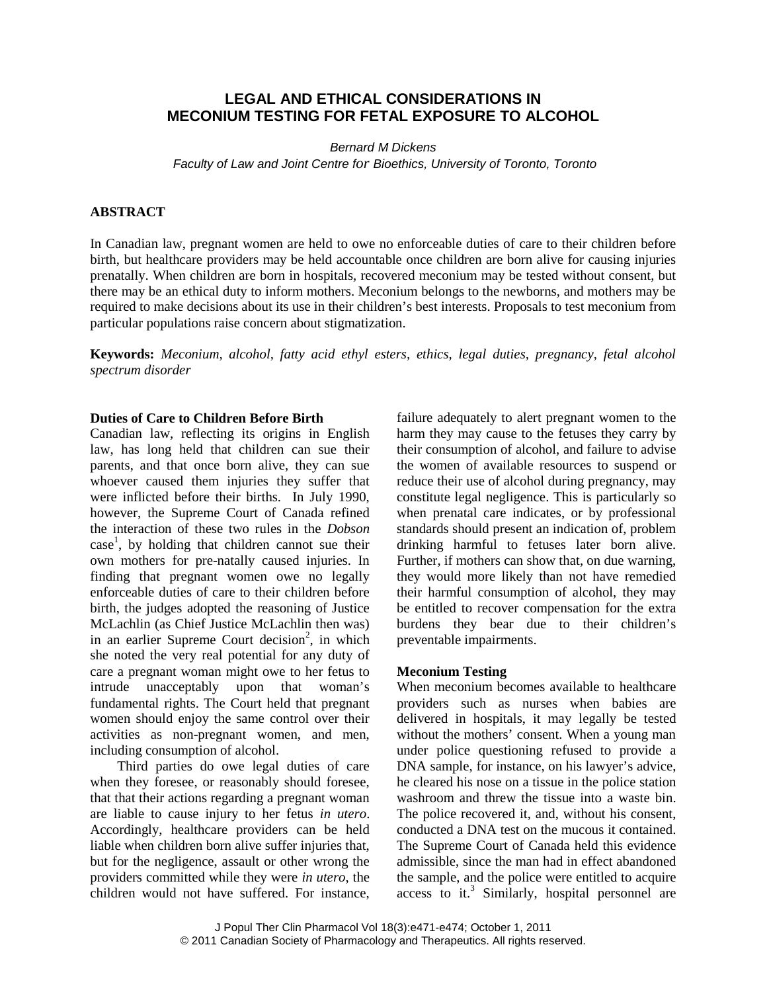# **LEGAL AND ETHICAL CONSIDERATIONS IN MECONIUM TESTING FOR FETAL EXPOSURE TO ALCOHOL**

*Bernard M Dickens Faculty of Law and Joint Centre for Bioethics, University of Toronto, Toronto*

#### **ABSTRACT**

In Canadian law, pregnant women are held to owe no enforceable duties of care to their children before birth, but healthcare providers may be held accountable once children are born alive for causing injuries prenatally. When children are born in hospitals, recovered meconium may be tested without consent, but there may be an ethical duty to inform mothers. Meconium belongs to the newborns, and mothers may be required to make decisions about its use in their children's best interests. Proposals to test meconium from particular populations raise concern about stigmatization.

**Keywords:** *Meconium, alcohol, fatty acid ethyl esters, ethics, legal duties, pregnancy, fetal alcohol spectrum disorder*

### **Duties of Care to Children Before Birth**

Canadian law, reflecting its origins in English law, has long held that children can sue their parents, and that once born alive, they can sue whoever caused them injuries they suffer that were inflicted before their births. In July 1990, however, the Supreme Court of Canada refined the interaction of these two rules in the *Dobson* case<sup>1</sup>, by holding that children cannot sue their own mothers for pre-natally caused injuries. In finding that pregnant women owe no legally enforceable duties of care to their children before birth, the judges adopted the reasoning of Justice McLachlin (as Chief Justice McLachlin then was) in an earlier Supreme Court decision<sup>2</sup>, in which she noted the very real potential for any duty of care a pregnant woman might owe to her fetus to intrude unacceptably upon that woman's fundamental rights. The Court held that pregnant women should enjoy the same control over their activities as non-pregnant women, and men, including consumption of alcohol.

Third parties do owe legal duties of care when they foresee, or reasonably should foresee, that that their actions regarding a pregnant woman are liable to cause injury to her fetus *in utero*. Accordingly, healthcare providers can be held liable when children born alive suffer injuries that, but for the negligence, assault or other wrong the providers committed while they were *in utero*, the children would not have suffered. For instance, failure adequately to alert pregnant women to the harm they may cause to the fetuses they carry by their consumption of alcohol, and failure to advise the women of available resources to suspend or reduce their use of alcohol during pregnancy, may constitute legal negligence. This is particularly so when prenatal care indicates, or by professional standards should present an indication of, problem drinking harmful to fetuses later born alive. Further, if mothers can show that, on due warning, they would more likely than not have remedied their harmful consumption of alcohol, they may be entitled to recover compensation for the extra burdens they bear due to their children's preventable impairments.

## **Meconium Testing**

When meconium becomes available to healthcare providers such as nurses when babies are delivered in hospitals, it may legally be tested without the mothers' consent. When a young man under police questioning refused to provide a DNA sample, for instance, on his lawyer's advice, he cleared his nose on a tissue in the police station washroom and threw the tissue into a waste bin. The police recovered it, and, without his consent, conducted a DNA test on the mucous it contained. The Supreme Court of Canada held this evidence admissible, since the man had in effect abandoned the sample, and the police were entitled to acquire access to it.<sup>3</sup> Similarly, hospital personnel are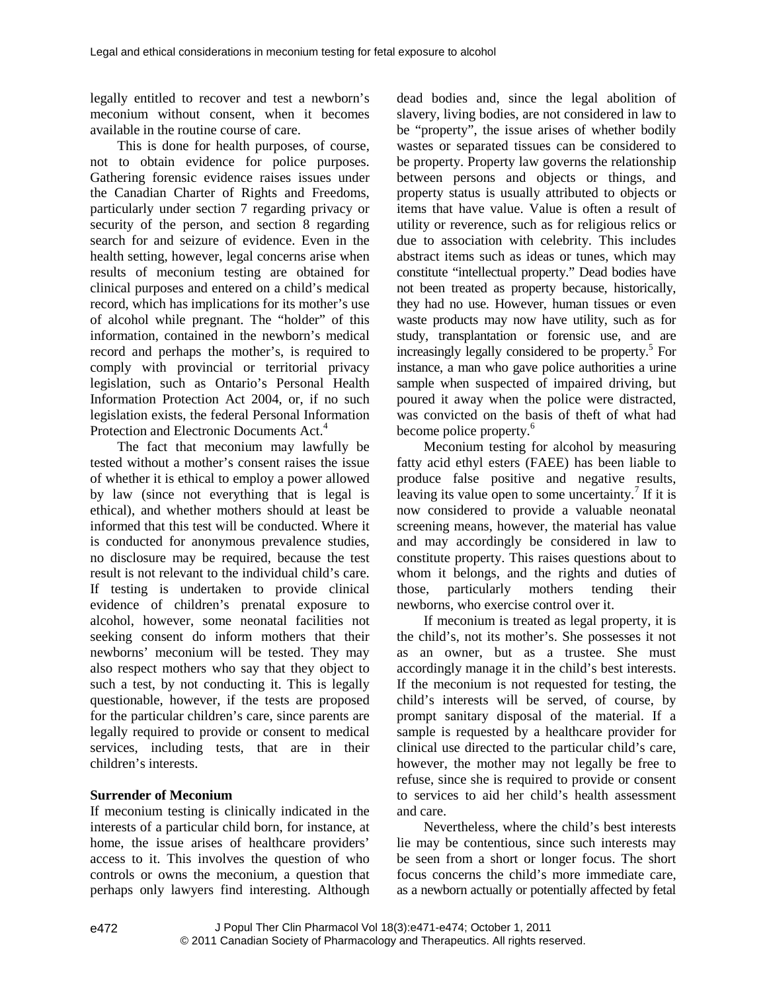legally entitled to recover and test a newborn's meconium without consent, when it becomes available in the routine course of care.

This is done for health purposes, of course, not to obtain evidence for police purposes. Gathering forensic evidence raises issues under the Canadian Charter of Rights and Freedoms, particularly under section 7 regarding privacy or security of the person, and section 8 regarding search for and seizure of evidence. Even in the health setting, however, legal concerns arise when results of meconium testing are obtained for clinical purposes and entered on a child's medical record, which has implications for its mother's use of alcohol while pregnant. The "holder" of this information, contained in the newborn's medical record and perhaps the mother's, is required to comply with provincial or territorial privacy legislation, such as Ontario's Personal Health Information Protection Act 2004, or, if no such legislation exists, the federal Personal Information Protection and Electronic Documents Act.<sup>4</sup>

The fact that meconium may lawfully be tested without a mother's consent raises the issue of whether it is ethical to employ a power allowed by law (since not everything that is legal is ethical), and whether mothers should at least be informed that this test will be conducted. Where it is conducted for anonymous prevalence studies, no disclosure may be required, because the test result is not relevant to the individual child's care. If testing is undertaken to provide clinical evidence of children's prenatal exposure to alcohol, however, some neonatal facilities not seeking consent do inform mothers that their newborns' meconium will be tested. They may also respect mothers who say that they object to such a test, by not conducting it. This is legally questionable, however, if the tests are proposed for the particular children's care, since parents are legally required to provide or consent to medical services, including tests, that are in their children's interests.

## **Surrender of Meconium**

If meconium testing is clinically indicated in the interests of a particular child born, for instance, at home, the issue arises of healthcare providers' access to it. This involves the question of who controls or owns the meconium, a question that perhaps only lawyers find interesting. Although dead bodies and, since the legal abolition of slavery, living bodies, are not considered in law to be "property", the issue arises of whether bodily wastes or separated tissues can be considered to be property. Property law governs the relationship between persons and objects or things, and property status is usually attributed to objects or items that have value. Value is often a result of utility or reverence, such as for religious relics or due to association with celebrity. This includes abstract items such as ideas or tunes, which may constitute "intellectual property." Dead bodies have not been treated as property because, historically, they had no use. However, human tissues or even waste products may now have utility, such as for study, transplantation or forensic use, and are increasingly legally considered to be property.<sup>5</sup> For instance, a man who gave police authorities a urine sample when suspected of impaired driving, but poured it away when the police were distracted, was convicted on the basis of theft of what had become police property.<sup>6</sup>

Meconium testing for alcohol by measuring fatty acid ethyl esters (FAEE) has been liable to produce false positive and negative results, leaving its value open to some uncertainty.<sup>7</sup> If it is now considered to provide a valuable neonatal screening means, however, the material has value and may accordingly be considered in law to constitute property. This raises questions about to whom it belongs, and the rights and duties of those, particularly mothers tending their newborns, who exercise control over it.

If meconium is treated as legal property, it is the child's, not its mother's. She possesses it not as an owner, but as a trustee. She must accordingly manage it in the child's best interests. If the meconium is not requested for testing, the child's interests will be served, of course, by prompt sanitary disposal of the material. If a sample is requested by a healthcare provider for clinical use directed to the particular child's care, however, the mother may not legally be free to refuse, since she is required to provide or consent to services to aid her child's health assessment and care.

Nevertheless, where the child's best interests lie may be contentious, since such interests may be seen from a short or longer focus. The short focus concerns the child's more immediate care, as a newborn actually or potentially affected by fetal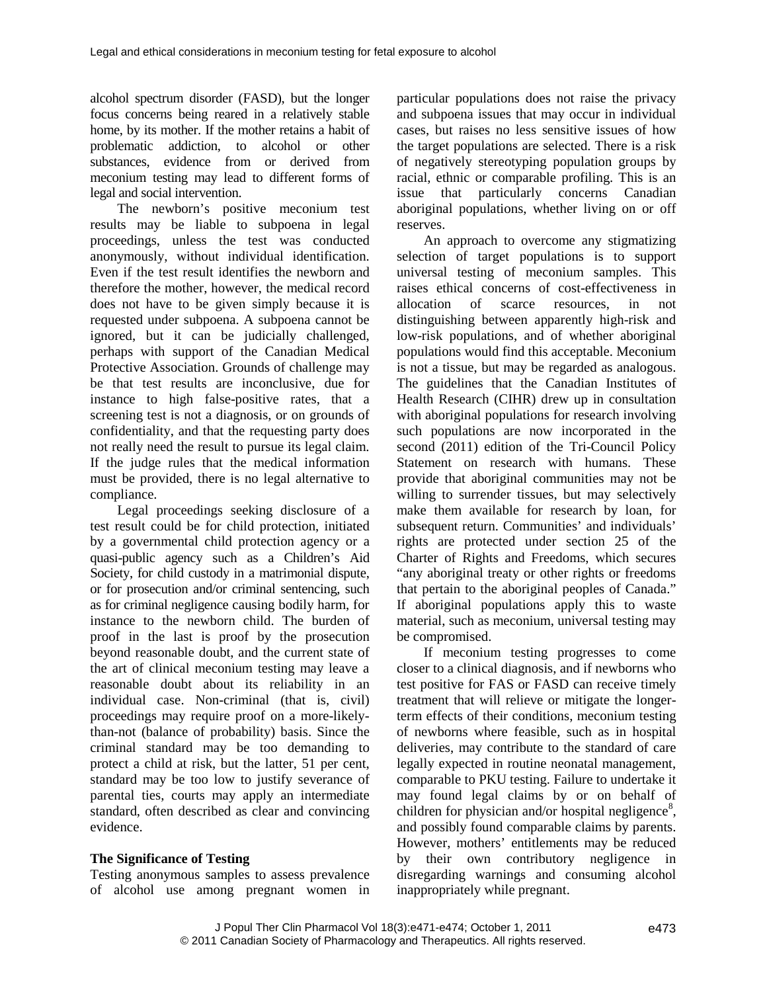alcohol spectrum disorder (FASD), but the longer focus concerns being reared in a relatively stable home, by its mother. If the mother retains a habit of problematic addiction, to alcohol or other substances, evidence from or derived from meconium testing may lead to different forms of legal and social intervention.

The newborn's positive meconium test results may be liable to subpoena in legal proceedings, unless the test was conducted anonymously, without individual identification. Even if the test result identifies the newborn and therefore the mother, however, the medical record does not have to be given simply because it is allocation requested under subpoena. A subpoena cannot be ignored, but it can be judicially challenged, perhaps with support of the Canadian Medical Protective Association. Grounds of challenge may be that test results are inconclusive, due for instance to high false-positive rates, that a screening test is not a diagnosis, or on grounds of confidentiality, and that the requesting party does not really need the result to pursue its legal claim. If the judge rules that the medical information must be provided, there is no legal alternative to compliance.

Legal proceedings seeking disclosure of a test result could be for child protection, initiated by a governmental child protection agency or a quasi-public agency such as a Children's Aid Society, for child custody in a matrimonial dispute, or for prosecution and/or criminal sentencing, such as for criminal negligence causing bodily harm, for instance to the newborn child. The burden of proof in the last is proof by the prosecution beyond reasonable doubt, and the current state of the art of clinical meconium testing may leave a reasonable doubt about its reliability in an individual case. Non-criminal (that is, civil) proceedings may require proof on a more-likelythan-not (balance of probability) basis. Since the criminal standard may be too demanding to protect a child at risk, but the latter, 51 per cent, standard may be too low to justify severance of parental ties, courts may apply an intermediate standard, often described as clear and convincing evidence.

## **The Significance of Testing**

Testing anonymous samples to assess prevalence of alcohol use among pregnant women in particular populations does not raise the privacy and subpoena issues that may occur in individual cases, but raises no less sensitive issues of how the target populations are selected. There is a risk of negatively stereotyping population groups by racial, ethnic or comparable profiling. This is an issue that particularly concerns Canadian aboriginal populations, whether living on or off reserves.

An approach to overcome any stigmatizing selection of target populations is to support universal testing of meconium samples. This raises ethical concerns of cost-effectiveness in of scarce resources, in not distinguishing between apparently high-risk and low-risk populations, and of whether aboriginal populations would find this acceptable. Meconium is not a tissue, but may be regarded as analogous. The guidelines that the Canadian Institutes of Health Research (CIHR) drew up in consultation with aboriginal populations for research involving such populations are now incorporated in the second (2011) edition of the Tri-Council Policy Statement on research with humans. These provide that aboriginal communities may not be willing to surrender tissues, but may selectively make them available for research by loan, for subsequent return. Communities' and individuals' rights are protected under section 25 of the Charter of Rights and Freedoms, which secures "any aboriginal treaty or other rights or freedoms that pertain to the aboriginal peoples of Canada." If aboriginal populations apply this to waste material, such as meconium, universal testing may be compromised.

If meconium testing progresses to come closer to a clinical diagnosis, and if newborns who test positive for FAS or FASD can receive timely treatment that will relieve or mitigate the longerterm effects of their conditions, meconium testing of newborns where feasible, such as in hospital deliveries, may contribute to the standard of care legally expected in routine neonatal management, comparable to PKU testing. Failure to undertake it may found legal claims by or on behalf of children for physician and/or hospital negligence<sup>8</sup>, and possibly found comparable claims by parents. However, mothers' entitlements may be reduced by their own contributory negligence in disregarding warnings and consuming alcohol inappropriately while pregnant.